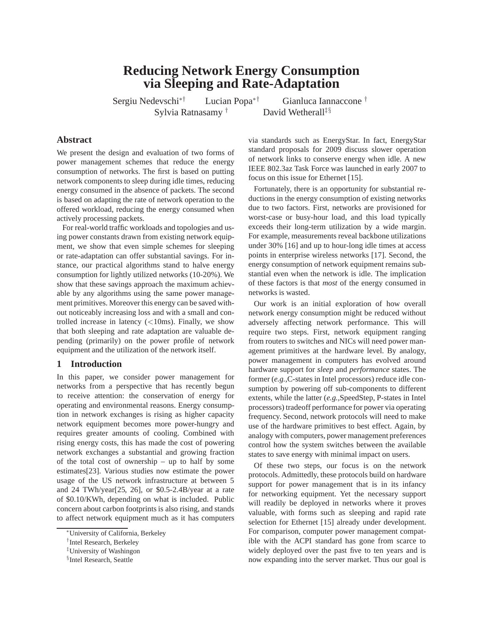# **Reducing Network Energy Consumption via Sleeping and Rate-Adaptation**

Sergiu Nedevschi∗† Lucian Popa∗† Gianluca Iannaccone †

Sylvia Ratnasamy † David Wetherall<sup>‡§</sup>

# **Abstract**

We present the design and evaluation of two forms of power management schemes that reduce the energy consumption of networks. The first is based on putting network components to sleep during idle times, reducing energy consumed in the absence of packets. The second is based on adapting the rate of network operation to the offered workload, reducing the energy consumed when actively processing packets.

For real-world traffic workloads and topologies and using power constants drawn from existing network equipment, we show that even simple schemes for sleeping or rate-adaptation can offer substantial savings. For instance, our practical algorithms stand to halve energy consumption for lightly utilized networks (10-20%). We show that these savings approach the maximum achievable by any algorithms using the same power management primitives. Moreover this energy can be saved without noticeably increasing loss and with a small and controlled increase in latency  $\left(\langle 10 \text{ms} \rangle, 10 \text{ms} \rangle\right)$ . Finally, we show that both sleeping and rate adaptation are valuable depending (primarily) on the power profile of network equipment and the utilization of the network itself.

## **1 Introduction**

In this paper, we consider power management for networks from a perspective that has recently begun to receive attention: the conservation of energy for operating and environmental reasons. Energy consumption in network exchanges is rising as higher capacity network equipment becomes more power-hungry and requires greater amounts of cooling. Combined with rising energy costs, this has made the cost of powering network exchanges a substantial and growing fraction of the total cost of ownership – up to half by some estimates[23]. Various studies now estimate the power usage of the US network infrastructure at between 5 and 24 TWh/year[25, 26], or \$0.5-2.4B/year at a rate of \$0.10/KWh, depending on what is included. Public concern about carbon footprints is also rising, and stands to affect network equipment much as it has computers via standards such as EnergyStar. In fact, EnergyStar standard proposals for 2009 discuss slower operation of network links to conserve energy when idle. A new IEEE 802.3az Task Force was launched in early 2007 to focus on this issue for Ethernet [15].

Fortunately, there is an opportunity for substantial reductions in the energy consumption of existing networks due to two factors. First, networks are provisioned for worst-case or busy-hour load, and this load typically exceeds their long-term utilization by a wide margin. For example, measurements reveal backbone utilizations under 30% [16] and up to hour-long idle times at access points in enterprise wireless networks [17]. Second, the energy consumption of network equipment remains substantial even when the network is idle. The implication of these factors is that *most* of the energy consumed in networks is wasted.

Our work is an initial exploration of how overall network energy consumption might be reduced without adversely affecting network performance. This will require two steps. First, network equipment ranging from routers to switches and NICs will need power management primitives at the hardware level. By analogy, power management in computers has evolved around hardware support for *sleep* and *performance* states. The former (*e.g.,*C-states in Intel processors) reduce idle consumption by powering off sub-components to different extents, while the latter (*e.g.,*SpeedStep, P-states in Intel processors) tradeoff performance for power via operating frequency. Second, network protocols will need to make use of the hardware primitives to best effect. Again, by analogy with computers, power management preferences control how the system switches between the available states to save energy with minimal impact on users.

Of these two steps, our focus is on the network protocols. Admittedly, these protocols build on hardware support for power management that is in its infancy for networking equipment. Yet the necessary support will readily be deployed in networks where it proves valuable, with forms such as sleeping and rapid rate selection for Ethernet [15] already under development. For comparison, computer power management compatible with the ACPI standard has gone from scarce to widely deployed over the past five to ten years and is now expanding into the server market. Thus our goal is

<sup>∗</sup>University of California, Berkeley

<sup>†</sup> Intel Research, Berkeley

<sup>‡</sup>University of Washingon

<sup>§</sup> Intel Research, Seattle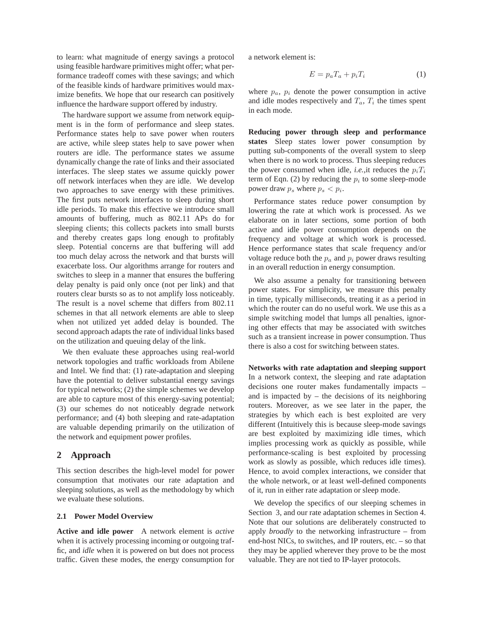to learn: what magnitude of energy savings a protocol using feasible hardware primitives might offer; what performance tradeoff comes with these savings; and which of the feasible kinds of hardware primitives would maximize benefits. We hope that our research can positively influence the hardware support offered by industry.

The hardware support we assume from network equipment is in the form of performance and sleep states. Performance states help to save power when routers are active, while sleep states help to save power when routers are idle. The performance states we assume dynamically change the rate of links and their associated interfaces. The sleep states we assume quickly power off network interfaces when they are idle. We develop two approaches to save energy with these primitives. The first puts network interfaces to sleep during short idle periods. To make this effective we introduce small amounts of buffering, much as 802.11 APs do for sleeping clients; this collects packets into small bursts and thereby creates gaps long enough to profitably sleep. Potential concerns are that buffering will add too much delay across the network and that bursts will exacerbate loss. Our algorithms arrange for routers and switches to sleep in a manner that ensures the buffering delay penalty is paid only once (not per link) and that routers clear bursts so as to not amplify loss noticeably. The result is a novel scheme that differs from 802.11 schemes in that all network elements are able to sleep when not utilized yet added delay is bounded. The second approach adapts the rate of individual links based on the utilization and queuing delay of the link.

We then evaluate these approaches using real-world network topologies and traffic workloads from Abilene and Intel. We find that: (1) rate-adaptation and sleeping have the potential to deliver substantial energy savings for typical networks; (2) the simple schemes we develop are able to capture most of this energy-saving potential; (3) our schemes do not noticeably degrade network performance; and (4) both sleeping and rate-adaptation are valuable depending primarily on the utilization of the network and equipment power profiles.

## **2 Approach**

This section describes the high-level model for power consumption that motivates our rate adaptation and sleeping solutions, as well as the methodology by which we evaluate these solutions.

## **2.1 Power Model Overview**

**Active and idle power** A network element is *active* when it is actively processing incoming or outgoing traffic, and *idle* when it is powered on but does not process traffic. Given these modes, the energy consumption for a network element is:

$$
E = p_a T_a + p_i T_i \tag{1}
$$

where  $p_a$ ,  $p_i$  denote the power consumption in active and idle modes respectively and  $T_a$ ,  $T_i$  the times spent in each mode.

**Reducing power through sleep and performance states** Sleep states lower power consumption by putting sub-components of the overall system to sleep when there is no work to process. Thus sleeping reduces the power consumed when idle, *i.e.*, it reduces the  $p_iT_i$ term of Eqn. (2) by reducing the  $p_i$  to some sleep-mode power draw  $p_s$  where  $p_s < p_i$ .

Performance states reduce power consumption by lowering the rate at which work is processed. As we elaborate on in later sections, some portion of both active and idle power consumption depends on the frequency and voltage at which work is processed. Hence performance states that scale frequency and/or voltage reduce both the  $p_a$  and  $p_i$  power draws resulting in an overall reduction in energy consumption.

We also assume a penalty for transitioning between power states. For simplicity, we measure this penalty in time, typically milliseconds, treating it as a period in which the router can do no useful work. We use this as a simple switching model that lumps all penalties, ignoring other effects that may be associated with switches such as a transient increase in power consumption. Thus there is also a cost for switching between states.

**Networks with rate adaptation and sleeping support** In a network context, the sleeping and rate adaptation decisions one router makes fundamentally impacts – and is impacted by  $-$  the decisions of its neighboring routers. Moreover, as we see later in the paper, the strategies by which each is best exploited are very different (Intuitively this is because sleep-mode savings are best exploited by maximizing idle times, which implies processing work as quickly as possible, while performance-scaling is best exploited by processing work as slowly as possible, which reduces idle times). Hence, to avoid complex interactions, we consider that the whole network, or at least well-defined components of it, run in either rate adaptation or sleep mode.

We develop the specifics of our sleeping schemes in Section 3, and our rate adaptation schemes in Section 4. Note that our solutions are deliberately constructed to apply *broadly* to the networking infrastructure – from end-host NICs, to switches, and IP routers, etc. – so that they may be applied wherever they prove to be the most valuable. They are not tied to IP-layer protocols.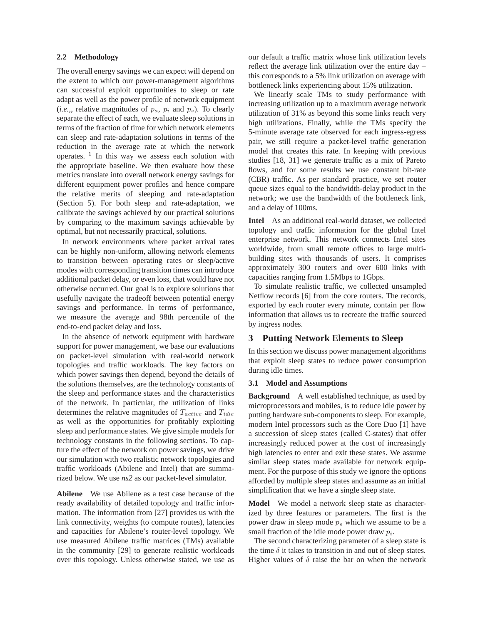#### **2.2 Methodology**

The overall energy savings we can expect will depend on the extent to which our power-management algorithms can successful exploit opportunities to sleep or rate adapt as well as the power profile of network equipment (*i.e.*,, relative magnitudes of  $p_a$ ,  $p_i$  and  $p_s$ ). To clearly separate the effect of each, we evaluate sleep solutions in terms of the fraction of time for which network elements can sleep and rate-adaptation solutions in terms of the reduction in the average rate at which the network operates.  $\frac{1}{1}$  In this way we assess each solution with the appropriate baseline. We then evaluate how these metrics translate into overall network energy savings for different equipment power profiles and hence compare the relative merits of sleeping and rate-adaptation (Section 5). For both sleep and rate-adaptation, we calibrate the savings achieved by our practical solutions by comparing to the maximum savings achievable by optimal, but not necessarily practical, solutions.

In network environments where packet arrival rates can be highly non-uniform, allowing network elements to transition between operating rates or sleep/active modes with corresponding transition times can introduce additional packet delay, or even loss, that would have not otherwise occurred. Our goal is to explore solutions that usefully navigate the tradeoff between potential energy savings and performance. In terms of performance, we measure the average and 98th percentile of the end-to-end packet delay and loss.

In the absence of network equipment with hardware support for power management, we base our evaluations on packet-level simulation with real-world network topologies and traffic workloads. The key factors on which power savings then depend, beyond the details of the solutions themselves, are the technology constants of the sleep and performance states and the characteristics of the network. In particular, the utilization of links determines the relative magnitudes of  $T_{active}$  and  $T_{idle}$ as well as the opportunities for profitably exploiting sleep and performance states. We give simple models for technology constants in the following sections. To capture the effect of the network on power savings, we drive our simulation with two realistic network topologies and traffic workloads (Abilene and Intel) that are summarized below. We use *ns2* as our packet-level simulator.

**Abilene** We use Abilene as a test case because of the ready availability of detailed topology and traffic information. The information from [27] provides us with the link connectivity, weights (to compute routes), latencies and capacities for Abilene's router-level topology. We use measured Abilene traffic matrices (TMs) available in the community [29] to generate realistic workloads over this topology. Unless otherwise stated, we use as our default a traffic matrix whose link utilization levels reflect the average link utilization over the entire day – this corresponds to a 5% link utilization on average with bottleneck links experiencing about 15% utilization.

We linearly scale TMs to study performance with increasing utilization up to a maximum average network utilization of 31% as beyond this some links reach very high utilizations. Finally, while the TMs specify the 5-minute average rate observed for each ingress-egress pair, we still require a packet-level traffic generation model that creates this rate. In keeping with previous studies [18, 31] we generate traffic as a mix of Pareto flows, and for some results we use constant bit-rate (CBR) traffic. As per standard practice, we set router queue sizes equal to the bandwidth-delay product in the network; we use the bandwidth of the bottleneck link, and a delay of 100ms.

**Intel** As an additional real-world dataset, we collected topology and traffic information for the global Intel enterprise network. This network connects Intel sites worldwide, from small remote offices to large multibuilding sites with thousands of users. It comprises approximately 300 routers and over 600 links with capacities ranging from 1.5Mbps to 1Gbps.

To simulate realistic traffic, we collected unsampled Netflow records [6] from the core routers. The records, exported by each router every minute, contain per flow information that allows us to recreate the traffic sourced by ingress nodes.

## **3 Putting Network Elements to Sleep**

In this section we discuss power management algorithms that exploit sleep states to reduce power consumption during idle times.

#### **3.1 Model and Assumptions**

**Background** A well established technique, as used by microprocessors and mobiles, is to reduce idle power by putting hardware sub-components to sleep. For example, modern Intel processors such as the Core Duo [1] have a succession of sleep states (called C-states) that offer increasingly reduced power at the cost of increasingly high latencies to enter and exit these states. We assume similar sleep states made available for network equipment. For the purpose of this study we ignore the options afforded by multiple sleep states and assume as an initial simplification that we have a single sleep state.

**Model** We model a network sleep state as characterized by three features or parameters. The first is the power draw in sleep mode  $p_s$  which we assume to be a small fraction of the idle mode power draw  $p_i$ .

The second characterizing parameter of a sleep state is the time  $\delta$  it takes to transition in and out of sleep states. Higher values of  $\delta$  raise the bar on when the network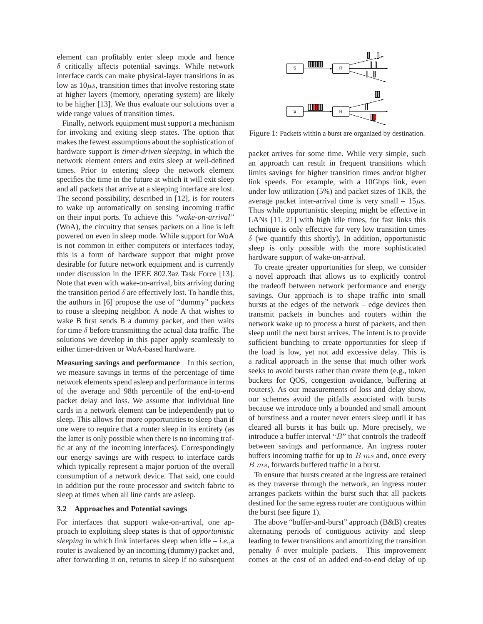element can profitably enter sleep mode and hence  $\delta$  critically affects potential savings. While network interface cards can make physical-layer transitions in as low as  $10\mu s$ , transition times that involve restoring state at higher layers (memory, operating system) are likely to be higher [13]. We thus evaluate our solutions over a wide range values of transition times.

Finally, network equipment must support a mechanism for invoking and exiting sleep states. The option that makes the fewest assumptions about the sophistication of hardware support is *timer-driven sleeping*, in which the network element enters and exits sleep at well-defined times. Prior to entering sleep the network element specifies the time in the future at which it will exit sleep and all packets that arrive at a sleeping interface are lost. The second possibility, described in [12], is for routers to wake up automatically on sensing incoming traffic on their input ports. To achieve this *"wake-on-arrival"* (WoA), the circuitry that senses packets on a line is left powered on even in sleep mode. While support for WoA is not common in either computers or interfaces today, this is a form of hardware support that might prove desirable for future network equipment and is currently under discussion in the IEEE 802.3az Task Force [13]. Note that even with wake-on-arrival, bits arriving during the transition period  $\delta$  are effectively lost. To handle this, the authors in [6] propose the use of "dummy" packets to rouse a sleeping neighbor. A node A that wishes to wake B first sends B a dummy packet, and then waits for time  $\delta$  before transmitting the actual data traffic. The solutions we develop in this paper apply seamlessly to either timer-driven or WoA-based hardware.

**Measuring savings and performance** In this section, we measure savings in terms of the percentage of time network elements spend asleep and performance in terms of the average and 98th percentile of the end-to-end packet delay and loss. We assume that individual line cards in a network element can be independently put to sleep. This allows for more opportunities to sleep than if one were to require that a router sleep in its entirety (as the latter is only possible when there is no incoming traffic at any of the incoming interfaces). Correspondingly our energy savings are with respect to interface cards which typically represent a major portion of the overall consumption of a network device. That said, one could in addition put the route processor and switch fabric to sleep at times when all line cards are asleep.

## **3.2 Approaches and Potential savings**

For interfaces that support wake-on-arrival, one approach to exploiting sleep states is that of *opportunistic sleeping* in which link interfaces sleep when idle – *i.e.,*a router is awakened by an incoming (dummy) packet and, after forwarding it on, returns to sleep if no subsequent



Figure 1: Packets within a burst are organized by destination.

packet arrives for some time. While very simple, such an approach can result in frequent transitions which limits savings for higher transition times and/or higher link speeds. For example, with a 10Gbps link, even under low utilization (5%) and packet sizes of 1KB, the average packet inter-arrival time is very small  $-15\mu s$ . Thus while opportunistic sleeping might be effective in LANs [11, 21] with high idle times, for fast links this technique is only effective for very low transition times  $\delta$  (we quantify this shortly). In addition, opportunistic sleep is only possible with the more sophisticated hardware support of wake-on-arrival.

To create greater opportunities for sleep, we consider a novel approach that allows us to explicitly control the tradeoff between network performance and energy savings. Our approach is to shape traffic into small bursts at the edges of the network – edge devices then transmit packets in bunches and routers within the network wake up to process a burst of packets, and then sleep until the next burst arrives. The intent is to provide sufficient bunching to create opportunities for sleep if the load is low, yet not add excessive delay. This is a radical approach in the sense that much other work seeks to avoid bursts rather than create them (e.g., token buckets for QOS, congestion avoidance, buffering at routers). As our measurements of loss and delay show, our schemes avoid the pitfalls associated with bursts because we introduce only a bounded and small amount of burstiness and a router never enters sleep until it has cleared all bursts it has built up. More precisely, we introduce a buffer interval "B" that controls the tradeoff between savings and performance. An ingress router buffers incoming traffic for up to  $B$  ms and, once every B ms, forwards buffered traffic in a burst.

To ensure that bursts created at the ingress are retained as they traverse through the network, an ingress router arranges packets within the burst such that all packets destined for the same egress router are contiguous within the burst (see figure 1).

The above "buffer-and-burst" approach (B&B) creates alternating periods of contiguous activity and sleep leading to fewer transitions and amortizing the transition penalty  $\delta$  over multiple packets. This improvement comes at the cost of an added end-to-end delay of up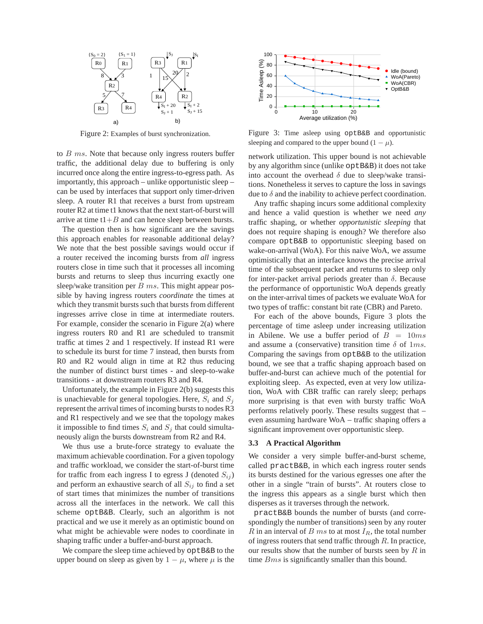

Figure 2: Examples of burst synchronization.

to B ms. Note that because only ingress routers buffer traffic, the additional delay due to buffering is only incurred once along the entire ingress-to-egress path. As importantly, this approach – unlike opportunistic sleep – can be used by interfaces that support only timer-driven sleep. A router R1 that receives a burst from upstream router R2 at time t1 knows that the next start-of-burst will arrive at time  $t1+B$  and can hence sleep between bursts.

The question then is how significant are the savings this approach enables for reasonable additional delay? We note that the best possible savings would occur if a router received the incoming bursts from *all* ingress routers close in time such that it processes all incoming bursts and returns to sleep thus incurring exactly one sleep/wake transition per  $B$  ms. This might appear possible by having ingress routers *coordinate* the times at which they transmit bursts such that bursts from different ingresses arrive close in time at intermediate routers. For example, consider the scenario in Figure 2(a) where ingress routers R0 and R1 are scheduled to transmit traffic at times 2 and 1 respectively. If instead R1 were to schedule its burst for time 7 instead, then bursts from R0 and R2 would align in time at R2 thus reducing the number of distinct burst times - and sleep-to-wake transitions - at downstream routers R3 and R4.

Unfortunately, the example in Figure 2(b) suggests this is unachievable for general topologies. Here,  $S_i$  and  $S_j$ represent the arrival times of incoming bursts to nodes R3 and R1 respectively and we see that the topology makes it impossible to find times  $S_i$  and  $S_j$  that could simultaneously align the bursts downstream from R2 and R4.

We thus use a brute-force strategy to evaluate the maximum achievable coordination. For a given topology and traffic workload, we consider the start-of-burst time for traffic from each ingress I to egress J (denoted  $S_{ij}$ ) and perform an exhaustive search of all  $S_{ij}$  to find a set of start times that minimizes the number of transitions across all the interfaces in the network. We call this scheme optB&B. Clearly, such an algorithm is not practical and we use it merely as an optimistic bound on what might be achievable were nodes to coordinate in shaping traffic under a buffer-and-burst approach.

We compare the sleep time achieved by optB&B to the upper bound on sleep as given by  $1 - \mu$ , where  $\mu$  is the



Figure 3: Time asleep using optB&B and opportunistic sleeping and compared to the upper bound  $(1 - \mu)$ .

network utilization. This upper bound is not achievable by any algorithm since (unlike optB&B) it does not take into account the overhead  $\delta$  due to sleep/wake transitions. Nonetheless it serves to capture the loss in savings due to  $\delta$  and the inability to achieve perfect coordination.

Any traffic shaping incurs some additional complexity and hence a valid question is whether we need *any* traffic shaping, or whether *opportunistic sleeping* that does not require shaping is enough? We therefore also compare optB&B to opportunistic sleeping based on wake-on-arrival (WoA). For this naive WoA, we assume optimistically that an interface knows the precise arrival time of the subsequent packet and returns to sleep only for inter-packet arrival periods greater than  $\delta$ . Because the performance of opportunistic WoA depends greatly on the inter-arrival times of packets we evaluate WoA for two types of traffic: constant bit rate (CBR) and Pareto.

For each of the above bounds, Figure 3 plots the percentage of time asleep under increasing utilization in Abilene. We use a buffer period of  $B = 10ms$ and assume a (conservative) transition time  $\delta$  of  $1ms$ . Comparing the savings from optB&B to the utilization bound, we see that a traffic shaping approach based on buffer-and-burst can achieve much of the potential for exploiting sleep. As expected, even at very low utilization, WoA with CBR traffic can rarely sleep; perhaps more surprising is that even with bursty traffic WoA performs relatively poorly. These results suggest that – even assuming hardware WoA – traffic shaping offers a significant improvement over opportunistic sleep.

#### **3.3 A Practical Algorithm**

We consider a very simple buffer-and-burst scheme, called practB&B, in which each ingress router sends its bursts destined for the various egresses one after the other in a single "train of bursts". At routers close to the ingress this appears as a single burst which then disperses as it traverses through the network.

practB&B bounds the number of bursts (and correspondingly the number of transitions) seen by any router R in an interval of B ms to at most  $I_R$ , the total number of ingress routers that send traffic through  $R$ . In practice, our results show that the number of bursts seen by  $R$  in time *Bms* is significantly smaller than this bound.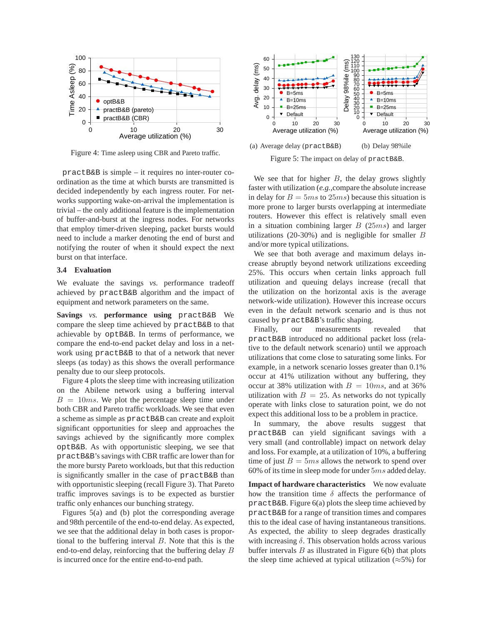

Figure 4: Time asleep using CBR and Pareto traffic.

practB&B is simple – it requires no inter-router coordination as the time at which bursts are transmitted is decided independently by each ingress router. For networks supporting wake-on-arrival the implementation is trivial – the only additional feature is the implementation of buffer-and-burst at the ingress nodes. For networks that employ timer-driven sleeping, packet bursts would need to include a marker denoting the end of burst and notifying the router of when it should expect the next burst on that interface.

### **3.4 Evaluation**

We evaluate the savings *vs.* performance tradeoff achieved by practB&B algorithm and the impact of equipment and network parameters on the same.

**Savings** *vs.* **performance using** practB&B We compare the sleep time achieved by practB&B to that achievable by optB&B. In terms of performance, we compare the end-to-end packet delay and loss in a network using practB&B to that of a network that never sleeps (as today) as this shows the overall performance penalty due to our sleep protocols.

Figure 4 plots the sleep time with increasing utilization on the Abilene network using a buffering interval  $B = 10ms$ . We plot the percentage sleep time under both CBR and Pareto traffic workloads. We see that even a scheme as simple as practB&B can create and exploit significant opportunities for sleep and approaches the savings achieved by the significantly more complex optB&B. As with opportunistic sleeping, we see that practB&B's savings with CBR traffic are lower than for the more bursty Pareto workloads, but that this reduction is significantly smaller in the case of practB&B than with opportunistic sleeping (recall Figure 3). That Pareto traffic improves savings is to be expected as burstier traffic only enhances our bunching strategy.

Figures 5(a) and (b) plot the corresponding average and 98th percentile of the end-to-end delay. As expected, we see that the additional delay in both cases is proportional to the buffering interval  $B$ . Note that this is the end-to-end delay, reinforcing that the buffering delay B is incurred once for the entire end-to-end path.



Figure 5: The impact on delay of practB&B.

We see that for higher  $B$ , the delay grows slightly faster with utilization (*e.g.,*compare the absolute increase in delay for  $B = 5ms$  to  $25ms$ ) because this situation is more prone to larger bursts overlapping at intermediate routers. However this effect is relatively small even in a situation combining larger  $B(25ms)$  and larger utilizations (20-30%) and is negligible for smaller  $B$ and/or more typical utilizations.

We see that both average and maximum delays increase abruptly beyond network utilizations exceeding 25%. This occurs when certain links approach full utilization and queuing delays increase (recall that the utilization on the horizontal axis is the average network-wide utilization). However this increase occurs even in the default network scenario and is thus not caused by practB&B's traffic shaping.

Finally, our measurements revealed that practB&B introduced no additional packet loss (relative to the default network scenario) until we approach utilizations that come close to saturating some links. For example, in a network scenario losses greater than 0.1% occur at 41% utilization without any buffering, they occur at 38% utilization with  $B = 10ms$ , and at 36% utilization with  $B = 25$ . As networks do not typically operate with links close to saturation point, we do not expect this additional loss to be a problem in practice.

In summary, the above results suggest that practB&B can yield significant savings with a very small (and controllable) impact on network delay and loss. For example, at a utilization of 10%, a buffering time of just  $B = 5ms$  allows the network to spend over 60% of its time in sleep mode for under 5ms added delay.

**Impact of hardware characteristics** We now evaluate how the transition time  $\delta$  affects the performance of practB&B. Figure 6(a) plots the sleep time achieved by practB&B for a range of transition times and compares this to the ideal case of having instantaneous transitions. As expected, the ability to sleep degrades drastically with increasing  $\delta$ . This observation holds across various buffer intervals  $B$  as illustrated in Figure 6(b) that plots the sleep time achieved at typical utilization ( $\approx$ 5%) for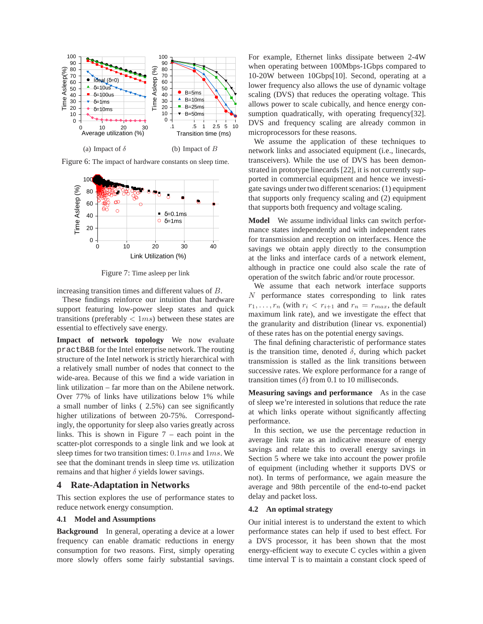

Figure 6: The impact of hardware constants on sleep time.



Figure 7: Time asleep per link

increasing transition times and different values of B.

These findings reinforce our intuition that hardware support featuring low-power sleep states and quick transitions (preferably  $< 1ms$ ) between these states are essential to effectively save energy.

**Impact of network topology** We now evaluate practB&B for the Intel enterprise network. The routing structure of the Intel network is strictly hierarchical with a relatively small number of nodes that connect to the wide-area. Because of this we find a wide variation in link utilization – far more than on the Abilene network. Over 77% of links have utilizations below 1% while a small number of links ( 2.5%) can see significantly higher utilizations of between 20-75%. Correspondingly, the opportunity for sleep also varies greatly across links. This is shown in Figure  $7$  – each point in the scatter-plot corresponds to a single link and we look at sleep times for two transition times: 0.1ms and 1ms. We see that the dominant trends in sleep time *vs.* utilization remains and that higher  $\delta$  yields lower savings.

## **4 Rate-Adaptation in Networks**

This section explores the use of performance states to reduce network energy consumption.

## **4.1 Model and Assumptions**

**Background** In general, operating a device at a lower frequency can enable dramatic reductions in energy consumption for two reasons. First, simply operating more slowly offers some fairly substantial savings.

For example, Ethernet links dissipate between 2-4W when operating between 100Mbps-1Gbps compared to 10-20W between 10Gbps[10]. Second, operating at a lower frequency also allows the use of dynamic voltage scaling (DVS) that reduces the operating voltage. This allows power to scale cubically, and hence energy consumption quadratically, with operating frequency[32]. DVS and frequency scaling are already common in microprocessors for these reasons.

We assume the application of these techniques to network links and associated equipment (i.e., linecards, transceivers). While the use of DVS has been demonstrated in prototype linecards [22], it is not currently supported in commercial equipment and hence we investigate savings under two different scenarios: (1) equipment that supports only frequency scaling and (2) equipment that supports both frequency and voltage scaling.

**Model** We assume individual links can switch performance states independently and with independent rates for transmission and reception on interfaces. Hence the savings we obtain apply directly to the consumption at the links and interface cards of a network element, although in practice one could also scale the rate of operation of the switch fabric and/or route processor.

We assume that each network interface supports N performance states corresponding to link rates  $r_1, \ldots, r_n$  (with  $r_i \leq r_{i+1}$  and  $r_n = r_{max}$ , the default maximum link rate), and we investigate the effect that the granularity and distribution (linear vs. exponential) of these rates has on the potential energy savings.

The final defining characteristic of performance states is the transition time, denoted  $\delta$ , during which packet transmission is stalled as the link transitions between successive rates. We explore performance for a range of transition times  $(\delta)$  from 0.1 to 10 milliseconds.

**Measuring savings and performance** As in the case of sleep we're interested in solutions that reduce the rate at which links operate without significantly affecting performance.

In this section, we use the percentage reduction in average link rate as an indicative measure of energy savings and relate this to overall energy savings in Section 5 where we take into account the power profile of equipment (including whether it supports DVS or not). In terms of performance, we again measure the average and 98th percentile of the end-to-end packet delay and packet loss.

#### **4.2 An optimal strategy**

Our initial interest is to understand the extent to which performance states can help if used to best effect. For a DVS processor, it has been shown that the most energy-efficient way to execute C cycles within a given time interval T is to maintain a constant clock speed of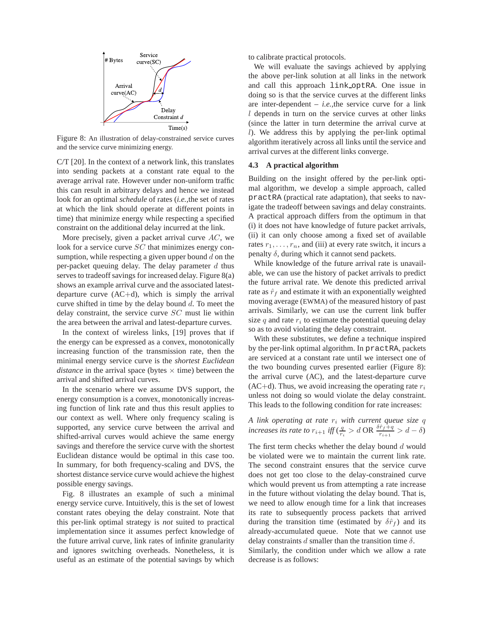

Figure 8: An illustration of delay-constrained service curves and the service curve minimizing energy.

C/T [20]. In the context of a network link, this translates into sending packets at a constant rate equal to the average arrival rate. However under non-uniform traffic this can result in arbitrary delays and hence we instead look for an optimal *schedule* of rates (*i.e.,*the set of rates at which the link should operate at different points in time) that minimize energy while respecting a specified constraint on the additional delay incurred at the link.

More precisely, given a packet arrival curve  $AC$ , we look for a service curve SC that minimizes energy consumption, while respecting a given upper bound  $d$  on the per-packet queuing delay. The delay parameter  $d$  thus serves to tradeoff savings for increased delay. Figure 8(a) shows an example arrival curve and the associated latestdeparture curve  $(AC+d)$ , which is simply the arrival curve shifted in time by the delay bound  $d$ . To meet the delay constraint, the service curve SC must lie within the area between the arrival and latest-departure curves.

In the context of wireless links, [19] proves that if the energy can be expressed as a convex, monotonically increasing function of the transmission rate, then the minimal energy service curve is the *shortest Euclidean distance* in the arrival space (bytes  $\times$  time) between the arrival and shifted arrival curves.

In the scenario where we assume DVS support, the energy consumption is a convex, monotonically increasing function of link rate and thus this result applies to our context as well. Where only frequency scaling is supported, any service curve between the arrival and shifted-arrival curves would achieve the same energy savings and therefore the service curve with the shortest Euclidean distance would be optimal in this case too. In summary, for both frequency-scaling and DVS, the shortest distance service curve would achieve the highest possible energy savings.

Fig. 8 illustrates an example of such a minimal energy service curve. Intuitively, this is the set of lowest constant rates obeying the delay constraint. Note that this per-link optimal strategy is *not* suited to practical implementation since it assumes perfect knowledge of the future arrival curve, link rates of infinite granularity and ignores switching overheads. Nonetheless, it is useful as an estimate of the potential savings by which to calibrate practical protocols.

We will evaluate the savings achieved by applying the above per-link solution at all links in the network and call this approach link optRA. One issue in doing so is that the service curves at the different links are inter-dependent – *i.e.,*the service curve for a link l depends in turn on the service curves at other links (since the latter in turn determine the arrival curve at l). We address this by applying the per-link optimal algorithm iteratively across all links until the service and arrival curves at the different links converge.

## **4.3 A practical algorithm**

Building on the insight offered by the per-link optimal algorithm, we develop a simple approach, called practRA (practical rate adaptation), that seeks to navigate the tradeoff between savings and delay constraints. A practical approach differs from the optimum in that (i) it does not have knowledge of future packet arrivals, (ii) it can only choose among a fixed set of available rates  $r_1, \ldots, r_n$ , and (iii) at every rate switch, it incurs a penalty  $δ$ , during which it cannot send packets.

While knowledge of the future arrival rate is unavailable, we can use the history of packet arrivals to predict the future arrival rate. We denote this predicted arrival rate as  $\hat{r}_f$  and estimate it with an exponentially weighted moving average (EWMA) of the measured history of past arrivals. Similarly, we can use the current link buffer size  $q$  and rate  $r_i$  to estimate the potential queuing delay so as to avoid violating the delay constraint.

With these substitutes, we define a technique inspired by the per-link optimal algorithm. In practRA, packets are serviced at a constant rate until we intersect one of the two bounding curves presented earlier (Figure 8): the arrival curve (AC), and the latest-departure curve  $(AC+d)$ . Thus, we avoid increasing the operating rate  $r_i$ unless not doing so would violate the delay constraint. This leads to the following condition for rate increases:

*A link operating at rate* r<sup>i</sup> *with current queue size* q *increases its rate to*  $r_{i+1}$  *iff* ( $\frac{q}{r_i} > d$  OR  $\frac{\delta \hat{r}_f + q}{r_{i+1}} > d - \delta$ )

The first term checks whether the delay bound  $d$  would be violated were we to maintain the current link rate. The second constraint ensures that the service curve does not get too close to the delay-constrained curve which would prevent us from attempting a rate increase in the future without violating the delay bound. That is, we need to allow enough time for a link that increases its rate to subsequently process packets that arrived during the transition time (estimated by  $\delta \hat{r}_f$ ) and its already-accumulated queue. Note that we cannot use delay constraints  $d$  smaller than the transition time  $\delta$ .

Similarly, the condition under which we allow a rate decrease is as follows: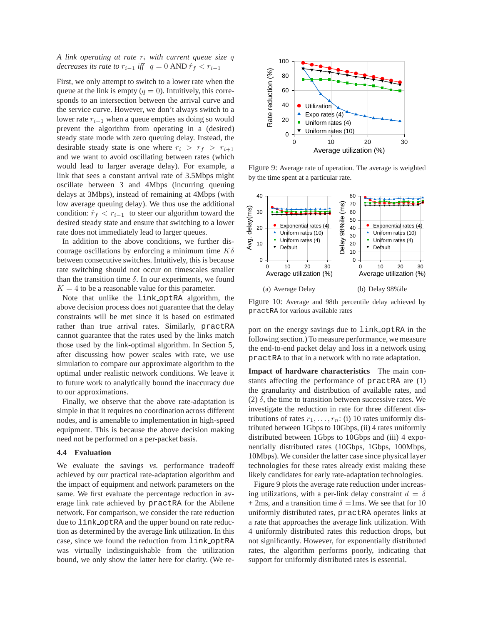## *A link operating at rate* r<sup>i</sup> *with current queue size* q *decreases its rate to*  $r_{i-1}$  *iff*  $q = 0$  AND  $\hat{r}_f < r_{i-1}$

First, we only attempt to switch to a lower rate when the queue at the link is empty  $(q = 0)$ . Intuitively, this corresponds to an intersection between the arrival curve and the service curve. However, we don't always switch to a lower rate  $r_{i-1}$  when a queue empties as doing so would prevent the algorithm from operating in a (desired) steady state mode with zero queuing delay. Instead, the desirable steady state is one where  $r_i > r_f > r_{i+1}$ and we want to avoid oscillating between rates (which would lead to larger average delay). For example, a link that sees a constant arrival rate of 3.5Mbps might oscillate between 3 and 4Mbps (incurring queuing delays at 3Mbps), instead of remaining at 4Mbps (with low average queuing delay). We thus use the additional condition:  $\hat{r}_f < r_{i-1}$  to steer our algorithm toward the desired steady state and ensure that switching to a lower rate does not immediately lead to larger queues.

In addition to the above conditions, we further discourage oscillations by enforcing a minimum time  $K\delta$ between consecutive switches. Intuitively, this is because rate switching should not occur on timescales smaller than the transition time  $\delta$ . In our experiments, we found  $K = 4$  to be a reasonable value for this parameter.

Note that unlike the link optRA algorithm, the above decision process does not guarantee that the delay constraints will be met since it is based on estimated rather than true arrival rates. Similarly, practRA cannot guarantee that the rates used by the links match those used by the link-optimal algorithm. In Section 5, after discussing how power scales with rate, we use simulation to compare our approximate algorithm to the optimal under realistic network conditions. We leave it to future work to analytically bound the inaccuracy due to our approximations.

Finally, we observe that the above rate-adaptation is simple in that it requires no coordination across different nodes, and is amenable to implementation in high-speed equipment. This is because the above decision making need not be performed on a per-packet basis.

#### **4.4 Evaluation**

We evaluate the savings *vs.* performance tradeoff achieved by our practical rate-adaptation algorithm and the impact of equipment and network parameters on the same. We first evaluate the percentage reduction in average link rate achieved by practRA for the Abilene network. For comparison, we consider the rate reduction due to link optRA and the upper bound on rate reduction as determined by the average link utilization. In this case, since we found the reduction from link optRA was virtually indistinguishable from the utilization bound, we only show the latter here for clarity. (We re-



Figure 9: Average rate of operation. The average is weighted by the time spent at a particular rate.



Figure 10: Average and 98th percentile delay achieved by practRA for various available rates

port on the energy savings due to link optRA in the following section.) To measure performance, we measure the end-to-end packet delay and loss in a network using practRA to that in a network with no rate adaptation.

**Impact of hardware characteristics** The main constants affecting the performance of practRA are (1) the granularity and distribution of available rates, and (2)  $\delta$ , the time to transition between successive rates. We investigate the reduction in rate for three different distributions of rates  $r_1, \ldots, r_n$ : (i) 10 rates uniformly distributed between 1Gbps to 10Gbps, (ii) 4 rates uniformly distributed between 1Gbps to 10Gbps and (iii) 4 exponentially distributed rates (10Gbps, 1Gbps, 100Mbps, 10Mbps). We consider the latter case since physical layer technologies for these rates already exist making these likely candidates for early rate-adaptation technologies.

Figure 9 plots the average rate reduction under increasing utilizations, with a per-link delay constraint  $d = \delta$ + 2ms, and a transition time  $\delta$  =1ms. We see that for 10 uniformly distributed rates, practRA operates links at a rate that approaches the average link utilization. With 4 uniformly distributed rates this reduction drops, but not significantly. However, for exponentially distributed rates, the algorithm performs poorly, indicating that support for uniformly distributed rates is essential.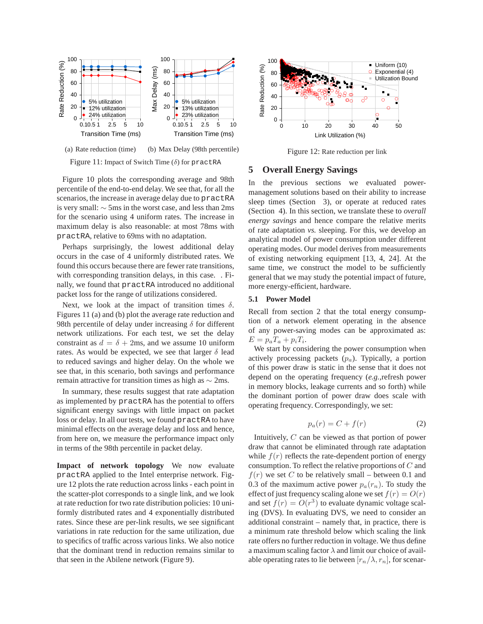

Figure 11: Impact of Switch Time  $(\delta)$  for practRA

Figure 10 plots the corresponding average and 98th percentile of the end-to-end delay. We see that, for all the scenarios, the increase in average delay due to practRA is very small: ∼ 5ms in the worst case, and less than 2ms for the scenario using 4 uniform rates. The increase in maximum delay is also reasonable: at most 78ms with practRA, relative to 69ms with no adaptation.

Perhaps surprisingly, the lowest additional delay occurs in the case of 4 uniformly distributed rates. We found this occurs because there are fewer rate transitions, with corresponding transition delays, in this case. . Finally, we found that practRA introduced no additional packet loss for the range of utilizations considered.

Next, we look at the impact of transition times  $\delta$ . Figures 11 (a) and (b) plot the average rate reduction and 98th percentile of delay under increasing  $\delta$  for different network utilizations. For each test, we set the delay constraint as  $d = \delta + 2$ ms, and we assume 10 uniform rates. As would be expected, we see that larger  $\delta$  lead to reduced savings and higher delay. On the whole we see that, in this scenario, both savings and performance remain attractive for transition times as high as ∼ 2ms.

In summary, these results suggest that rate adaptation as implemented by practRA has the potential to offers significant energy savings with little impact on packet loss or delay. In all our tests, we found practRA to have minimal effects on the average delay and loss and hence, from here on, we measure the performance impact only in terms of the 98th percentile in packet delay.

**Impact of network topology** We now evaluate practRA applied to the Intel enterprise network. Figure 12 plots the rate reduction across links - each point in the scatter-plot corresponds to a single link, and we look at rate reduction for two rate distribution policies: 10 uniformly distributed rates and 4 exponentially distributed rates. Since these are per-link results, we see significant variations in rate reduction for the same utilization, due to specifics of traffic across various links. We also notice that the dominant trend in reduction remains similar to that seen in the Abilene network (Figure 9).



Figure 12: Rate reduction per link

## **5 Overall Energy Savings**

In the previous sections we evaluated powermanagement solutions based on their ability to increase sleep times (Section 3), or operate at reduced rates (Section 4). In this section, we translate these to *overall energy savings* and hence compare the relative merits of rate adaptation *vs.* sleeping. For this, we develop an analytical model of power consumption under different operating modes. Our model derives from measurements of existing networking equipment [13, 4, 24]. At the same time, we construct the model to be sufficiently general that we may study the potential impact of future, more energy-efficient, hardware.

## **5.1 Power Model**

Recall from section 2 that the total energy consumption of a network element operating in the absence of any power-saving modes can be approximated as:  $E = p_a T_a + p_i T_i.$ 

We start by considering the power consumption when actively processing packets  $(p_a)$ . Typically, a portion of this power draw is static in the sense that it does not depend on the operating frequency (*e.g.,*refresh power in memory blocks, leakage currents and so forth) while the dominant portion of power draw does scale with operating frequency. Correspondingly, we set:

$$
p_a(r) = C + f(r) \tag{2}
$$

Intuitively, C can be viewed as that portion of power draw that cannot be eliminated through rate adaptation while  $f(r)$  reflects the rate-dependent portion of energy consumption. To reflect the relative proportions of C and  $f(r)$  we set C to be relatively small – between 0.1 and 0.3 of the maximum active power  $p_a(r_n)$ . To study the effect of just frequency scaling alone we set  $f(r) = O(r)$ and set  $f(r) = O(r^3)$  to evaluate dynamic voltage scaling (DVS). In evaluating DVS, we need to consider an additional constraint – namely that, in practice, there is a minimum rate threshold below which scaling the link rate offers no further reduction in voltage. We thus define a maximum scaling factor  $\lambda$  and limit our choice of available operating rates to lie between  $[r_n/\lambda, r_n]$ , for scenar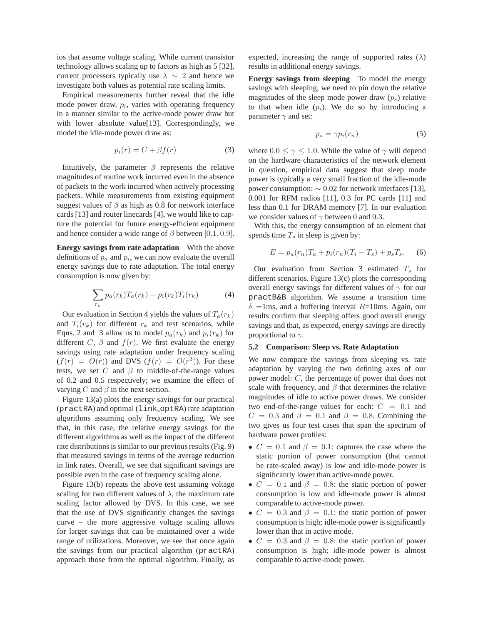ios that assume voltage scaling. While current transistor technology allows scaling up to factors as high as 5 [32], current processors typically use  $\lambda \sim 2$  and hence we investigate both values as potential rate scaling limits.

Empirical measurements further reveal that the idle mode power draw,  $p_i$ , varies with operating frequency in a manner similar to the active-mode power draw but with lower absolute value[13]. Correspondingly, we model the idle-mode power draw as:

$$
p_i(r) = C + \beta f(r) \tag{3}
$$

Intuitively, the parameter  $\beta$  represents the relative magnitudes of routine work incurred even in the absence of packets to the work incurred when actively processing packets. While measurements from existing equipment suggest values of  $\beta$  as high as 0.8 for network interface cards [13] and router linecards [4], we would like to capture the potential for future energy-efficient equipment and hence consider a wide range of  $\beta$  between [0.1, 0.9].

**Energy savings from rate adaptation** With the above definitions of  $p_a$  and  $p_i$ , we can now evaluate the overall energy savings due to rate adaptation. The total energy consumption is now given by:

$$
\sum_{r_k} p_a(r_k) T_a(r_k) + p_i(r_k) T_i(r_k) \tag{4}
$$

Our evaluation in Section 4 yields the values of  $T_a(r_k)$ and  $T_i(r_k)$  for different  $r_k$  and test scenarios, while Eqns. 2 and 3 allow us to model  $p_a(r_k)$  and  $p_i(r_k)$  for different C,  $\beta$  and  $f(r)$ . We first evaluate the energy savings using rate adaptation under frequency scaling  $(f(r) = O(r))$  and DVS  $(f(r) = O(r^3))$ . For these tests, we set C and  $\beta$  to middle-of-the-range values of 0.2 and 0.5 respectively; we examine the effect of varying  $C$  and  $\beta$  in the next section.

Figure 13(a) plots the energy savings for our practical (practRA) and optimal (link optRA) rate adaptation algorithms assuming only frequency scaling. We see that, in this case, the relative energy savings for the different algorithms as well as the impact of the different rate distributions is similar to our previous results (Fig. 9) that measured savings in terms of the average reduction in link rates. Overall, we see that significant savings are possible even in the case of frequency scaling alone.

Figure 13(b) repeats the above test assuming voltage scaling for two different values of  $\lambda$ , the maximum rate scaling factor allowed by DVS. In this case, we see that the use of DVS significantly changes the savings curve – the more aggressive voltage scaling allows for larger savings that can be maintained over a wide range of utilizations. Moreover, we see that once again the savings from our practical algorithm (practRA) approach those from the optimal algorithm. Finally, as expected, increasing the range of supported rates ( $\lambda$ ) results in additional energy savings.

**Energy savings from sleeping** To model the energy savings with sleeping, we need to pin down the relative magnitudes of the sleep mode power draw  $(p_s)$  relative to that when idle  $(p_i)$ . We do so by introducing a parameter  $\gamma$  and set:

$$
p_s = \gamma p_i(r_n) \tag{5}
$$

where  $0.0 \le \gamma \le 1.0$ . While the value of  $\gamma$  will depend on the hardware characteristics of the network element in question, empirical data suggest that sleep mode power is typically a very small fraction of the idle-mode power consumption:  $\sim 0.02$  for network interfaces [13], 0.001 for RFM radios [11], 0.3 for PC cards [11] and less than 0.1 for DRAM memory [7]. In our evaluation we consider values of  $\gamma$  between 0 and 0.3.

With this, the energy consumption of an element that spends time  $T_s$  in sleep is given by:

$$
E = p_a(r_n)T_a + p_i(r_n)(T_i - T_s) + p_sT_s.
$$
 (6)

Our evaluation from Section 3 estimated  $T_s$  for different scenarios. Figure 13(c) plots the corresponding overall energy savings for different values of  $\gamma$  for our practB&B algorithm. We assume a transition time  $\delta$  =1ms, and a buffering interval B=10ms. Again, our results confirm that sleeping offers good overall energy savings and that, as expected, energy savings are directly proportional to  $\gamma$ .

#### **5.2 Comparison: Sleep vs. Rate Adaptation**

We now compare the savings from sleeping vs. rate adaptation by varying the two defining axes of our power model: C, the percentage of power that does not scale with frequency, and  $\beta$  that determines the relative magnitudes of idle to active power draws. We consider two end-of-the-range values for each:  $C = 0.1$  and  $C = 0.3$  and  $\beta = 0.1$  and  $\beta = 0.8$ . Combining the two gives us four test cases that span the spectrum of hardware power profiles:

- $C = 0.1$  and  $\beta = 0.1$ : captures the case where the static portion of power consumption (that cannot be rate-scaled away) is low and idle-mode power is significantly lower than active-mode power.
- $C = 0.1$  and  $\beta = 0.8$ : the static portion of power consumption is low and idle-mode power is almost comparable to active-mode power.
- $C = 0.3$  and  $\beta = 0.1$ : the static portion of power consumption is high; idle-mode power is significantly lower than that in active mode.
- $C = 0.3$  and  $\beta = 0.8$ : the static portion of power consumption is high; idle-mode power is almost comparable to active-mode power.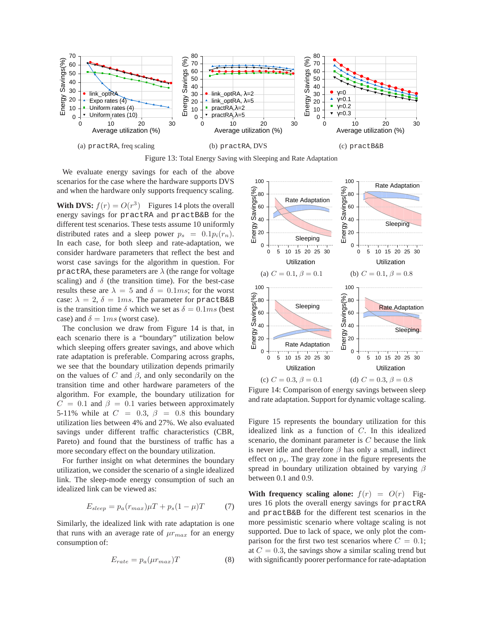

Figure 13: Total Energy Saving with Sleeping and Rate Adaptation

We evaluate energy savings for each of the above scenarios for the case where the hardware supports DVS and when the hardware only supports frequency scaling.

**With DVS:**  $f(r) = O(r^3)$  Figures 14 plots the overall energy savings for practRA and practB&B for the different test scenarios. These tests assume 10 uniformly distributed rates and a sleep power  $p_s = 0.1p_i(r_n)$ . In each case, for both sleep and rate-adaptation, we consider hardware parameters that reflect the best and worst case savings for the algorithm in question. For practRA, these parameters are  $\lambda$  (the range for voltage scaling) and  $\delta$  (the transition time). For the best-case results these are  $\lambda = 5$  and  $\delta = 0.1$ ms; for the worst case:  $\lambda = 2$ ,  $\delta = 1ms$ . The parameter for practB&B is the transition time  $\delta$  which we set as  $\delta = 0.1$ ms (best case) and  $\delta = 1ms$  (worst case).

The conclusion we draw from Figure 14 is that, in each scenario there is a "boundary" utilization below which sleeping offers greater savings, and above which rate adaptation is preferable. Comparing across graphs, we see that the boundary utilization depends primarily on the values of C and  $\beta$ , and only secondarily on the transition time and other hardware parameters of the algorithm. For example, the boundary utilization for  $C = 0.1$  and  $\beta = 0.1$  varies between approximately 5-11% while at  $C = 0.3$ ,  $\beta = 0.8$  this boundary utilization lies between 4% and 27%. We also evaluated savings under different traffic characteristics (CBR, Pareto) and found that the burstiness of traffic has a more secondary effect on the boundary utilization.

For further insight on what determines the boundary utilization, we consider the scenario of a single idealized link. The sleep-mode energy consumption of such an idealized link can be viewed as:

$$
E_{sleep} = p_a(r_{max})\mu T + p_s(1 - \mu)T \tag{7}
$$

Similarly, the idealized link with rate adaptation is one that runs with an average rate of  $\mu r_{max}$  for an energy consumption of:

$$
E_{rate} = p_a(\mu r_{max})T \tag{8}
$$



Figure 14: Comparison of energy savings between sleep and rate adaptation. Support for dynamic voltage scaling.

Figure 15 represents the boundary utilization for this idealized link as a function of C. In this idealized scenario, the dominant parameter is C because the link is never idle and therefore  $\beta$  has only a small, indirect effect on  $p_s$ . The gray zone in the figure represents the spread in boundary utilization obtained by varying  $\beta$ between 0.1 and 0.9.

**With frequency scaling alone:**  $f(r) = O(r)$  Figures 16 plots the overall energy savings for practRA and practB&B for the different test scenarios in the more pessimistic scenario where voltage scaling is not supported. Due to lack of space, we only plot the comparison for the first two test scenarios where  $C = 0.1$ ; at  $C = 0.3$ , the savings show a similar scaling trend but with significantly poorer performance for rate-adaptation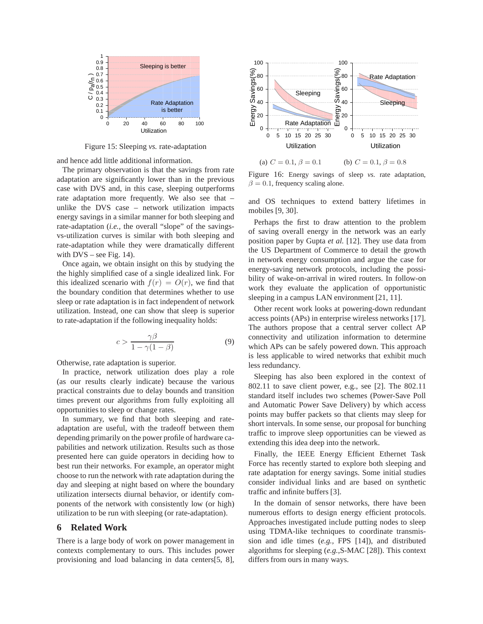

Figure 15: Sleeping *vs.* rate-adaptation

and hence add little additional information.

The primary observation is that the savings from rate adaptation are significantly lower than in the previous case with DVS and, in this case, sleeping outperforms rate adaptation more frequently. We also see that – unlike the DVS case – network utilization impacts energy savings in a similar manner for both sleeping and rate-adaptation (*i.e.,* the overall "slope" of the savingsvs-utilization curves is similar with both sleeping and rate-adaptation while they were dramatically different with  $DVS$  – see Fig. 14).

Once again, we obtain insight on this by studying the the highly simplified case of a single idealized link. For this idealized scenario with  $f(r) = O(r)$ , we find that the boundary condition that determines whether to use sleep or rate adaptation is in fact independent of network utilization. Instead, one can show that sleep is superior to rate-adaptation if the following inequality holds:

$$
c > \frac{\gamma \beta}{1 - \gamma (1 - \beta)}\tag{9}
$$

Otherwise, rate adaptation is superior.

In practice, network utilization does play a role (as our results clearly indicate) because the various practical constraints due to delay bounds and transition times prevent our algorithms from fully exploiting all opportunities to sleep or change rates.

In summary, we find that both sleeping and rateadaptation are useful, with the tradeoff between them depending primarily on the power profile of hardware capabilities and network utilization. Results such as those presented here can guide operators in deciding how to best run their networks. For example, an operator might choose to run the network with rate adaptation during the day and sleeping at night based on where the boundary utilization intersects diurnal behavior, or identify components of the network with consistently low (or high) utilization to be run with sleeping (or rate-adaptation).

## **6 Related Work**

There is a large body of work on power management in contexts complementary to ours. This includes power provisioning and load balancing in data centers[5, 8],



(a)  $C = 0.1, \beta = 0.1$ (b)  $C = 0.1, \beta = 0.8$ 

Figure 16: Energy savings of sleep *vs.* rate adaptation,  $\beta = 0.1$ , frequency scaling alone.

and OS techniques to extend battery lifetimes in mobiles [9, 30].

Perhaps the first to draw attention to the problem of saving overall energy in the network was an early position paper by Gupta *et al.* [12]. They use data from the US Department of Commerce to detail the growth in network energy consumption and argue the case for energy-saving network protocols, including the possibility of wake-on-arrival in wired routers. In follow-on work they evaluate the application of opportunistic sleeping in a campus LAN environment [21, 11].

Other recent work looks at powering-down redundant access points (APs) in enterprise wireless networks [17]. The authors propose that a central server collect AP connectivity and utilization information to determine which APs can be safely powered down. This approach is less applicable to wired networks that exhibit much less redundancy.

Sleeping has also been explored in the context of 802.11 to save client power, e.g., see [2]. The 802.11 standard itself includes two schemes (Power-Save Poll and Automatic Power Save Delivery) by which access points may buffer packets so that clients may sleep for short intervals. In some sense, our proposal for bunching traffic to improve sleep opportunities can be viewed as extending this idea deep into the network.

Finally, the IEEE Energy Efficient Ethernet Task Force has recently started to explore both sleeping and rate adaptation for energy savings. Some initial studies consider individual links and are based on synthetic traffic and infinite buffers [3].

In the domain of sensor networks, there have been numerous efforts to design energy efficient protocols. Approaches investigated include putting nodes to sleep using TDMA-like techniques to coordinate transmission and idle times (*e.g.,* FPS [14]), and distributed algorithms for sleeping (*e.g.,*S-MAC [28]). This context differs from ours in many ways.